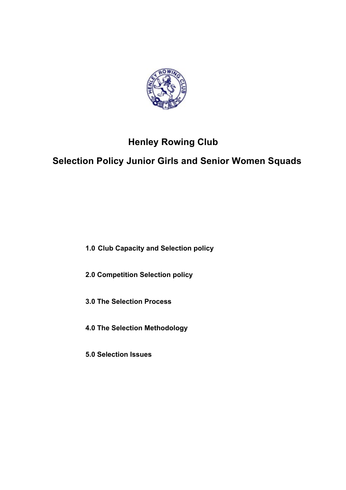

# **Henley Rowing Club**

# **Selection Policy Junior Girls and Senior Women Squads**

**1.0 Club Capacity and Selection policy** 

**2.0 Competition Selection policy**

**3.0 The Selection Process**

**4.0 The Selection Methodology**

**5.0 Selection Issues**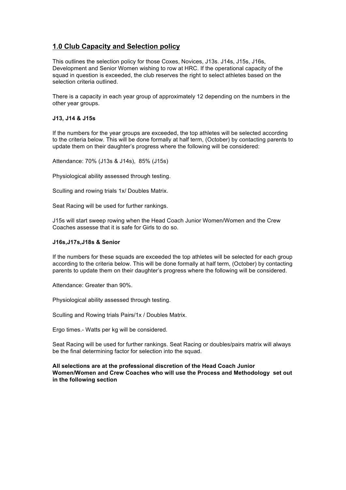# **1.0 Club Capacity and Selection policy**

This outlines the selection policy for those Coxes, Novices, J13s. J14s, J15s, J16s, Development and Senior Women wishing to row at HRC. If the operational capacity of the squad in question is exceeded, the club reserves the right to select athletes based on the selection criteria outlined.

There is a capacity in each year group of approximately 12 depending on the numbers in the other year groups.

### **J13, J14 & J15s**

If the numbers for the year groups are exceeded, the top athletes will be selected according to the criteria below. This will be done formally at half term, (October) by contacting parents to update them on their daughter's progress where the following will be considered:

Attendance: 70% (J13s & J14s), 85% (J15s)

Physiological ability assessed through testing.

Sculling and rowing trials 1x/ Doubles Matrix.

Seat Racing will be used for further rankings.

J15s will start sweep rowing when the Head Coach Junior Women/Women and the Crew Coaches assesse that it is safe for Girls to do so.

### **J16s,J17s,J18s & Senior**

If the numbers for these squads are exceeded the top athletes will be selected for each group according to the criteria below. This will be done formally at half term, (October) by contacting parents to update them on their daughter's progress where the following will be considered.

Attendance: Greater than 90%.

Physiological ability assessed through testing.

Sculling and Rowing trials Pairs/1x / Doubles Matrix.

Ergo times.- Watts per kg will be considered.

Seat Racing will be used for further rankings. Seat Racing or doubles/pairs matrix will always be the final determining factor for selection into the squad.

### **All selections are at the professional discretion of the Head Coach Junior Women/Women and Crew Coaches who will use the Process and Methodology set out in the following section**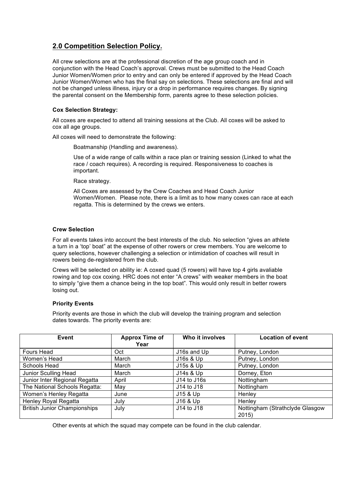# **2.0 Competition Selection Policy.**

All crew selections are at the professional discretion of the age group coach and in conjunction with the Head Coach's approval. Crews must be submitted to the Head Coach Junior Women/Women prior to entry and can only be entered if approved by the Head Coach Junior Women/Women who has the final say on selections. These selections are final and will not be changed unless illness, injury or a drop in performance requires changes. By signing the parental consent on the Membership form, parents agree to these selection policies.

## **Cox Selection Strategy:**

All coxes are expected to attend all training sessions at the Club. All coxes will be asked to cox all age groups.

All coxes will need to demonstrate the following:

Boatmanship (Handling and awareness).

Use of a wide range of calls within a race plan or training session (Linked to what the race / coach requires). A recording is required. Responsiveness to coaches is important.

Race strategy.

All Coxes are assessed by the Crew Coaches and Head Coach Junior Women/Women. Please note, there is a limit as to how many coxes can race at each regatta. This is determined by the crews we enters.

## **Crew Selection**

For all events takes into account the best interests of the club. No selection "gives an athlete a turn in a 'top' boat" at the expense of other rowers or crew members. You are welcome to query selections, however challenging a selection or intimidation of coaches will result in rowers being de-registered from the club.

Crews will be selected on ability ie: A coxed quad (5 rowers) will have top 4 girls avaliable rowing and top cox coxing. HRC does not enter "A crews" with weaker members in the boat to simply "give them a chance being in the top boat". This would only result in better rowers losing out.

## **Priority Events**

Priority events are those in which the club will develop the training program and selection dates towards. The priority events are:

| Event                               | <b>Approx Time of</b><br>Year | Who it involves | <b>Location of event</b>                |
|-------------------------------------|-------------------------------|-----------------|-----------------------------------------|
| Fours Head                          | Oct                           | J16s and Up     | Putney, London                          |
| Women's Head                        | March                         | J16s & Up       | Putney, London                          |
| Schools Head                        | March                         | J15s & Up       | Putney, London                          |
| Junior Sculling Head                | March                         | J14s & Up       | Dorney, Eton                            |
| Junior Inter Regional Regatta       | April                         | J14 to J16s     | Nottingham                              |
| The National Schools Regatta:       | May                           | J14 to J18      | Nottingham                              |
| Women's Henley Regatta              | June                          | J15 & Up        | Henley                                  |
| <b>Henley Royal Regatta</b>         | July                          | J16 & Up        | Henley                                  |
| <b>British Junior Championships</b> | July                          | J14 to J18      | Nottingham (Strathclyde Glasgow<br>2015 |

Other events at which the squad may compete can be found in the club calendar.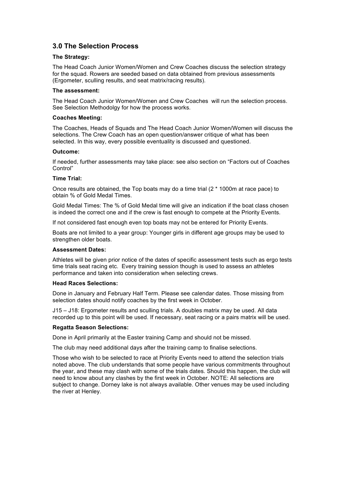# **3.0 The Selection Process**

### **The Strategy:**

The Head Coach Junior Women/Women and Crew Coaches discuss the selection strategy for the squad. Rowers are seeded based on data obtained from previous assessments (Ergometer, sculling results, and seat matrix/racing results).

#### **The assessment:**

The Head Coach Junior Women/Women and Crew Coaches will run the selection process. See Selection Methodolgy for how the process works.

### **Coaches Meeting:**

The Coaches, Heads of Squads and The Head Coach Junior Women/Women will discuss the selections. The Crew Coach has an open question/answer critique of what has been selected. In this way, every possible eventuality is discussed and questioned.

### **Outcome:**

If needed, further assessments may take place: see also section on "Factors out of Coaches Control"

### **Time Trial:**

Once results are obtained, the Top boats may do a time trial (2 \* 1000m at race pace) to obtain % of Gold Medal Times.

Gold Medal Times: The % of Gold Medal time will give an indication if the boat class chosen is indeed the correct one and if the crew is fast enough to compete at the Priority Events.

If not considered fast enough even top boats may not be entered for Priority Events.

Boats are not limited to a year group: Younger girls in different age groups may be used to strengthen older boats.

#### **Assessment Dates:**

Athletes will be given prior notice of the dates of specific assessment tests such as ergo tests time trials seat racing etc. Every training session though is used to assess an athletes performance and taken into consideration when selecting crews.

### **Head Races Selections:**

Done in January and February Half Term. Please see calendar dates. Those missing from selection dates should notify coaches by the first week in October.

J15 – J18: Ergometer results and sculling trials. A doubles matrix may be used. All data recorded up to this point will be used. If necessary, seat racing or a pairs matrix will be used.

## **Regatta Season Selections:**

Done in April primarily at the Easter training Camp and should not be missed.

The club may need additional days after the training camp to finalise selections.

Those who wish to be selected to race at Priority Events need to attend the selection trials noted above. The club understands that some people have various commitments throughout the year, and these may clash with some of the trials dates. Should this happen, the club will need to know about any clashes by the first week in October. NOTE: All selections are subject to change. Dorney lake is not always available. Other venues may be used including the river at Henley.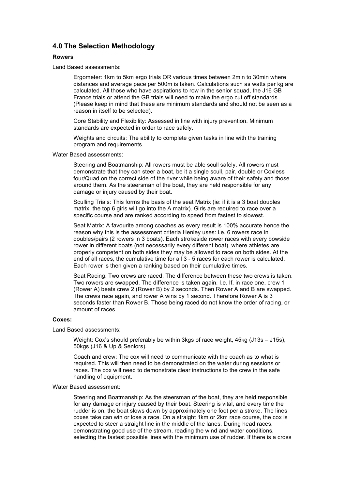## **4.0 The Selection Methodology**

#### **Rowers**

#### Land Based assessments:

Ergometer: 1km to 5km ergo trials OR various times between 2min to 30min where distances and average pace per 500m is taken. Calculations such as watts per kg are calculated. All those who have aspirations to row in the senior squad, the J16 GB France trials or attend the GB trials will need to make the ergo cut off standards (Please keep in mind that these are minimum standards and should not be seen as a reason in itself to be selected).

Core Stability and Flexibility: Assessed in line with injury prevention. Minimum standards are expected in order to race safely.

Weights and circuits: The ability to complete given tasks in line with the training program and requirements.

Water Based assessments:

Steering and Boatmanship: All rowers must be able scull safely. All rowers must demonstrate that they can steer a boat, be it a single scull, pair, double or Coxless four/Quad on the correct side of the river while being aware of their safety and those around them. As the steersman of the boat, they are held responsible for any damage or injury caused by their boat.

Sculling Trials: This forms the basis of the seat Matrix (ie: if it is a 3 boat doubles matrix, the top 6 girls will go into the A matrix). Girls are required to race over a specific course and are ranked according to speed from fastest to slowest.

Seat Matrix: A favourite among coaches as every result is 100% accurate hence the reason why this is the assessment criteria Henley uses: i.e. 6 rowers race in doubles/pairs (2 rowers in 3 boats). Each strokeside rower races with every bowside rower in different boats (not necessarily every different boat), where athletes are properly competent on both sides they may be allowed to race on both sides. At the end of all races, the cumulative time for all 3 - 5 races for each rower is calculated. Each rower is then given a ranking based on their cumulative times.

Seat Racing: Two crews are raced. The difference between these two crews is taken. Two rowers are swapped. The difference is taken again. I.e. If, in race one, crew 1 (Rower A) beats crew 2 (Rower B) by 2 seconds. Then Rower A and B are swapped. The crews race again, and rower A wins by 1 second. Therefore Rower A is 3 seconds faster than Rower B. Those being raced do not know the order of racing, or amount of races.

#### **Coxes:**

#### Land Based assessments:

Weight: Cox's should preferably be within 3kgs of race weight, 45kg (J13s – J15s), 50kgs (J16 & Up & Seniors).

Coach and crew: The cox will need to communicate with the coach as to what is required. This will then need to be demonstrated on the water during sessions or races. The cox will need to demonstrate clear instructions to the crew in the safe handling of equipment.

#### Water Based assessment:

Steering and Boatmanship: As the steersman of the boat, they are held responsible for any damage or injury caused by their boat. Steering is vital, and every time the rudder is on, the boat slows down by approximately one foot per a stroke. The lines coxes take can win or lose a race. On a straight 1km or 2km race course, the cox is expected to steer a straight line in the middle of the lanes. During head races, demonstrating good use of the stream, reading the wind and water conditions, selecting the fastest possible lines with the minimum use of rudder. If there is a cross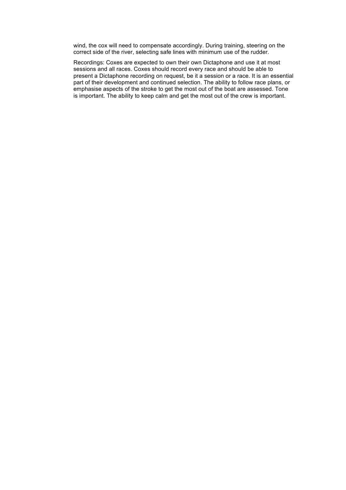wind, the cox will need to compensate accordingly. During training, steering on the correct side of the river, selecting safe lines with minimum use of the rudder.

Recordings: Coxes are expected to own their own Dictaphone and use it at most sessions and all races. Coxes should record every race and should be able to present a Dictaphone recording on request, be it a session or a race. It is an essential part of their development and continued selection. The ability to follow race plans, or emphasise aspects of the stroke to get the most out of the boat are assessed. Tone is important. The ability to keep calm and get the most out of the crew is important.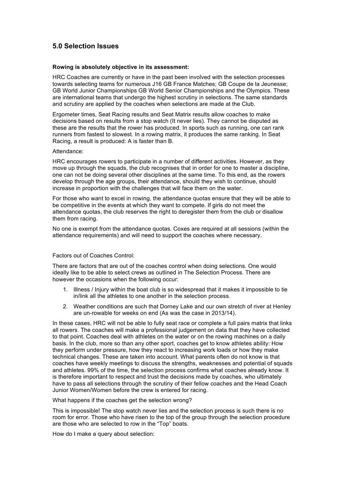# **5.0 Selection Issues**

#### **Rowing is absolutely objective in its assessment:**

HRC Coaches are currently or have in the past been involved with the selection processes towards selecting teams for numerous J16 GB France Matches; GB Coupe de la Jeunesse; GB World Junior Championships GB World Senior Championships and the Olympics. These are international teams that undergo the highest scrutiny in selections. The same standards and scrutiny are applied by the coaches when selections are made at the Club.

Ergometer times, Seat Racing results and Seat Matrix results allow coaches to make decisions based on results from a stop watch (It never lies). They cannot be disputed as these are the results that the rower has produced. In sports such as running, one can rank runners from fastest to slowest. In a rowing matrix, it produces the same ranking. In Seat Racing, a result is produced: A is faster than B.

#### Attendance:

HRC encourages rowers to participate in a number of different activities. However, as they move up through the squads, the club recognises that in order for one to master a discipline, one can not be doing several other disciplines at the same time. To this end, as the rowers develop through the age groups, their attendance, should they wish to continue, should increase in proportion with the challenges that will face them on the water.

For those who want to excel in rowing, the attendance quotas ensure that they will be able to be competitive in the events at which they want to compete. If girls do not meet the attendance quotas, the club reserves the right to deregister them from the club or disallow them from racing.

No one is exempt from the attendance quotas. Coxes are required at all sessions (within the attendance requirements) and will need to support the coaches where necessary.

#### Factors out of Coaches Control:

There are factors that are out of the coaches control when doing selections. One would ideally like to be able to select crews as outlined in The Selection Process. There are however the occasions when the following occur:

- 1. Illness / Injury within the boat club is so widespread that it makes it impossible to tie in/link all the athletes to one another in the selection process.
- 2. Weather conditions are such that Dorney Lake and our own stretch of river at Henley are un-rowable for weeks on end (As was the case in 2013/14).

In these cases, HRC will not be able to fully seat race or complete a full pairs matrix that links all rowers. The coaches will make a professional judgement on data that they have collected to that point. Coaches deal with athletes on the water or on the rowing machines on a daily basis. In the club, more so than any other sport, coaches get to know athletes ability: How they perform under pressure, how they react to increasing work loads or how they make technical changes. These are taken into account. What parents often do not know is that coaches have weekly meetings to discuss the strengths, weaknesses and potential of squads and athletes. 99% of the time, the selection process confirms what coaches already know. It is therefore important to respect and trust the decisions made by coaches, who ultimately have to pass all selections through the scrutiny of their fellow coaches and the Head Coach Junior Women/Women before the crew is entered for racing.

What happens if the coaches get the selection wrong?

This is impossible! The stop watch never lies and the selection process is such there is no room for error. Those who have risen to the top of the group through the selection procedure are those who are selected to row in the "Top" boats.

How do I make a query about selection: